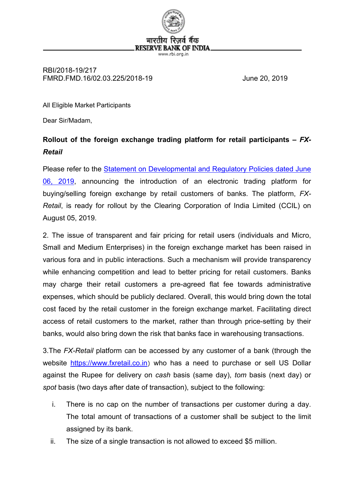

#### RBI/2018-19/217 FMRD.FMD.16/02.03.225/2018-19 June 20, 2019

All Eligible Market Participants

Dear Sir/Madam,

## **Rollout of the foreign exchange trading platform for retail participants –** *FX-Retail*

Please refer to the [Statement on Developmental and Regulatory Policies dated June](https://rbi.org.in/Scripts/BS_PressReleaseDisplay.aspx?prid=47226)  [06, 2019,](https://rbi.org.in/Scripts/BS_PressReleaseDisplay.aspx?prid=47226) announcing the introduction of an electronic trading platform for buying/selling foreign exchange by retail customers of banks. The platform, *FX-Retail*, is ready for rollout by the Clearing Corporation of India Limited (CCIL) on August 05, 2019.

2. The issue of transparent and fair pricing for retail users (individuals and Micro, Small and Medium Enterprises) in the foreign exchange market has been raised in various fora and in public interactions. Such a mechanism will provide transparency while enhancing competition and lead to better pricing for retail customers. Banks may charge their retail customers a pre-agreed flat fee towards administrative expenses, which should be publicly declared. Overall, this would bring down the total cost faced by the retail customer in the foreign exchange market. Facilitating direct access of retail customers to the market, rather than through price-setting by their banks, would also bring down the risk that banks face in warehousing transactions.

3.The *FX-Retail* platform can be accessed by any customer of a bank (through the website [https://www.fxretail.co.in](https://www.fxretail.co.in/)) who has a need to purchase or sell US Dollar against the Rupee for delivery on *cash* basis (same day), *tom* basis (next day) or *spot* basis (two days after date of transaction), subject to the following:

- i. There is no cap on the number of transactions per customer during a day. The total amount of transactions of a customer shall be subject to the limit assigned by its bank.
- ii. The size of a single transaction is not allowed to exceed \$5 million.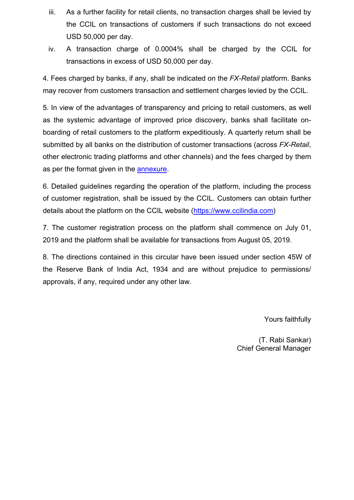- iii. As a further facility for retail clients, no transaction charges shall be levied by the CCIL on transactions of customers if such transactions do not exceed USD 50,000 per day.
- iv. A transaction charge of 0.0004% shall be charged by the CCIL for transactions in excess of USD 50,000 per day.

4. Fees charged by banks, if any, shall be indicated on the *FX-Retail* platform. Banks may recover from customers transaction and settlement charges levied by the CCIL.

5. In view of the advantages of transparency and pricing to retail customers, as well as the systemic advantage of improved price discovery, banks shall facilitate onboarding of retail customers to the platform expeditiously. A quarterly return shall be submitted by all banks on the distribution of customer transactions (across *FX-Retail*, other electronic trading platforms and other channels) and the fees charged by them as per the format given in the [annexure.](#page-2-0)

6. Detailed guidelines regarding the operation of the platform, including the process of customer registration, shall be issued by the CCIL. Customers can obtain further details about the platform on the CCIL website [\(https://www.ccilindia.com\)](https://www.ccilindia.com/)

7. The customer registration process on the platform shall commence on July 01, 2019 and the platform shall be available for transactions from August 05, 2019.

8. The directions contained in this circular have been issued under section 45W of the Reserve Bank of India Act, 1934 and are without prejudice to permissions/ approvals, if any, required under any other law.

Yours faithfully

(T. Rabi Sankar) Chief General Manager